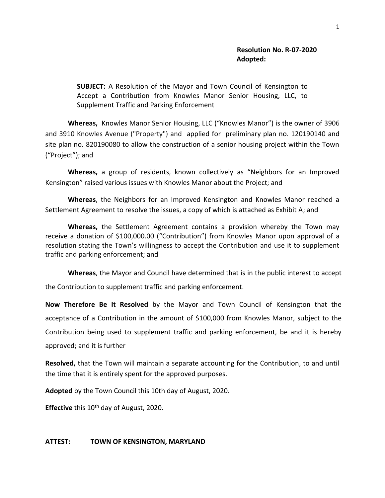**SUBJECT:** A Resolution of the Mayor and Town Council of Kensington to Accept a Contribution from Knowles Manor Senior Housing, LLC, to Supplement Traffic and Parking Enforcement

**Whereas,** Knowles Manor Senior Housing, LLC ("Knowles Manor") is the owner of 3906 and 3910 Knowles Avenue ("Property") and applied for preliminary plan no. 120190140 and site plan no. 820190080 to allow the construction of a senior housing project within the Town ("Project"); and

**Whereas,** a group of residents, known collectively as "Neighbors for an Improved Kensington" raised various issues with Knowles Manor about the Project; and

**Whereas**, the Neighbors for an Improved Kensington and Knowles Manor reached a Settlement Agreement to resolve the issues, a copy of which is attached as Exhibit A; and

**Whereas,** the Settlement Agreement contains a provision whereby the Town may receive a donation of \$100,000.00 ("Contribution") from Knowles Manor upon approval of a resolution stating the Town's willingness to accept the Contribution and use it to supplement traffic and parking enforcement; and

**Whereas**, the Mayor and Council have determined that is in the public interest to accept the Contribution to supplement traffic and parking enforcement.

**Now Therefore Be It Resolved** by the Mayor and Town Council of Kensington that the acceptance of a Contribution in the amount of \$100,000 from Knowles Manor, subject to the Contribution being used to supplement traffic and parking enforcement, be and it is hereby approved; and it is further

**Resolved,** that the Town will maintain a separate accounting for the Contribution, to and until the time that it is entirely spent for the approved purposes.

**Adopted** by the Town Council this 10th day of August, 2020.

**Effective** this 10<sup>th</sup> day of August, 2020.

## **ATTEST: TOWN OF KENSINGTON, MARYLAND**